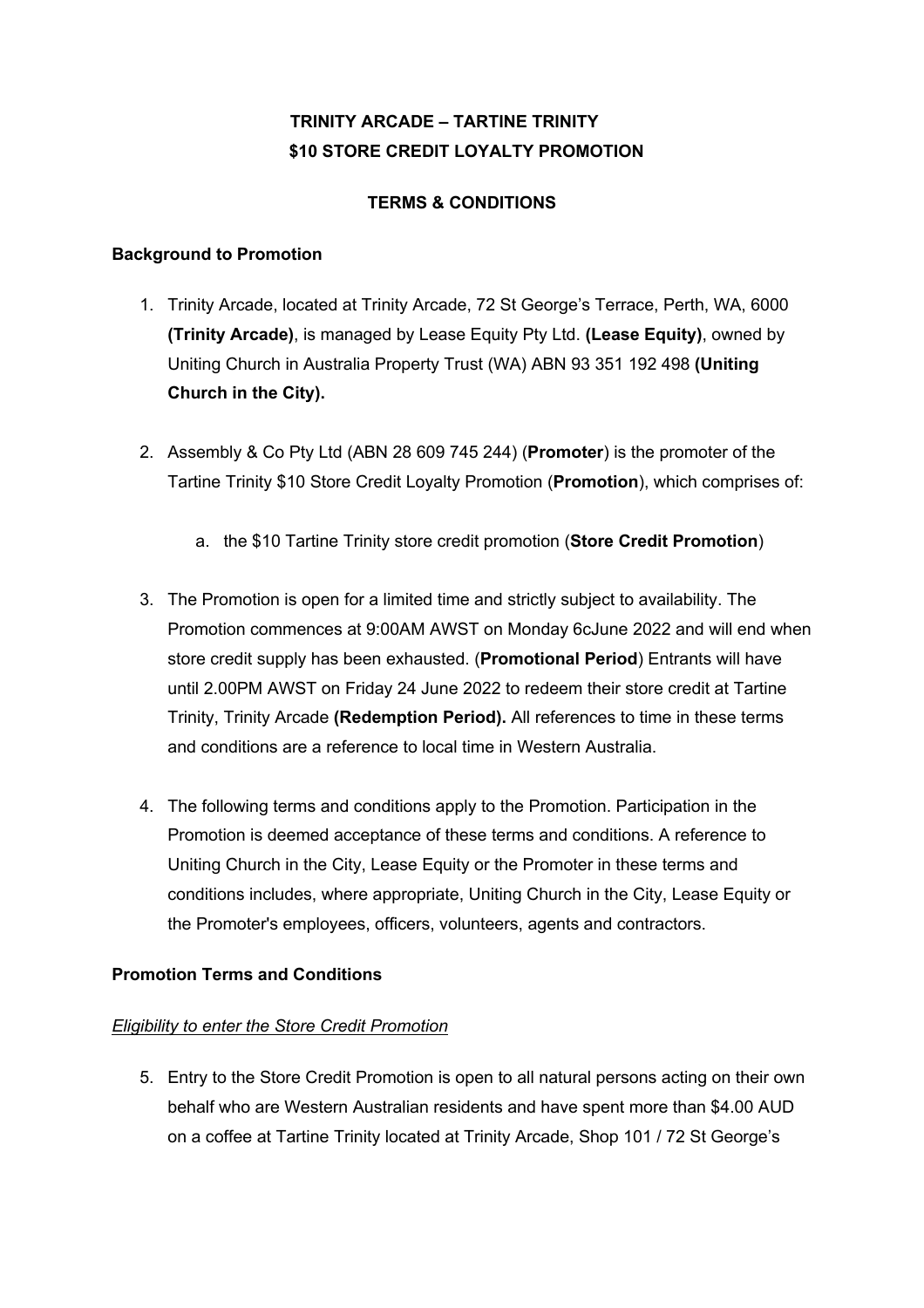# **TRINITY ARCADE – TARTINE TRINITY \$10 STORE CREDIT LOYALTY PROMOTION**

# **TERMS & CONDITIONS**

### **Background to Promotion**

- 1. Trinity Arcade, located at Trinity Arcade, 72 St George's Terrace, Perth, WA, 6000 **(Trinity Arcade)**, is managed by Lease Equity Pty Ltd. **(Lease Equity)**, owned by Uniting Church in Australia Property Trust (WA) ABN 93 351 192 498 **(Uniting Church in the City).**
- 2. Assembly & Co Pty Ltd (ABN 28 609 745 244) (**Promoter**) is the promoter of the Tartine Trinity \$10 Store Credit Loyalty Promotion (**Promotion**), which comprises of:
	- a. the \$10 Tartine Trinity store credit promotion (**Store Credit Promotion**)
- 3. The Promotion is open for a limited time and strictly subject to availability. The Promotion commences at 9:00AM AWST on Monday 6cJune 2022 and will end when store credit supply has been exhausted. (**Promotional Period**) Entrants will have until 2.00PM AWST on Friday 24 June 2022 to redeem their store credit at Tartine Trinity, Trinity Arcade **(Redemption Period).** All references to time in these terms and conditions are a reference to local time in Western Australia.
- 4. The following terms and conditions apply to the Promotion. Participation in the Promotion is deemed acceptance of these terms and conditions. A reference to Uniting Church in the City, Lease Equity or the Promoter in these terms and conditions includes, where appropriate, Uniting Church in the City, Lease Equity or the Promoter's employees, officers, volunteers, agents and contractors.

# **Promotion Terms and Conditions**

# *Eligibility to enter the Store Credit Promotion*

5. Entry to the Store Credit Promotion is open to all natural persons acting on their own behalf who are Western Australian residents and have spent more than \$4.00 AUD on a coffee at Tartine Trinity located at Trinity Arcade, Shop 101 / 72 St George's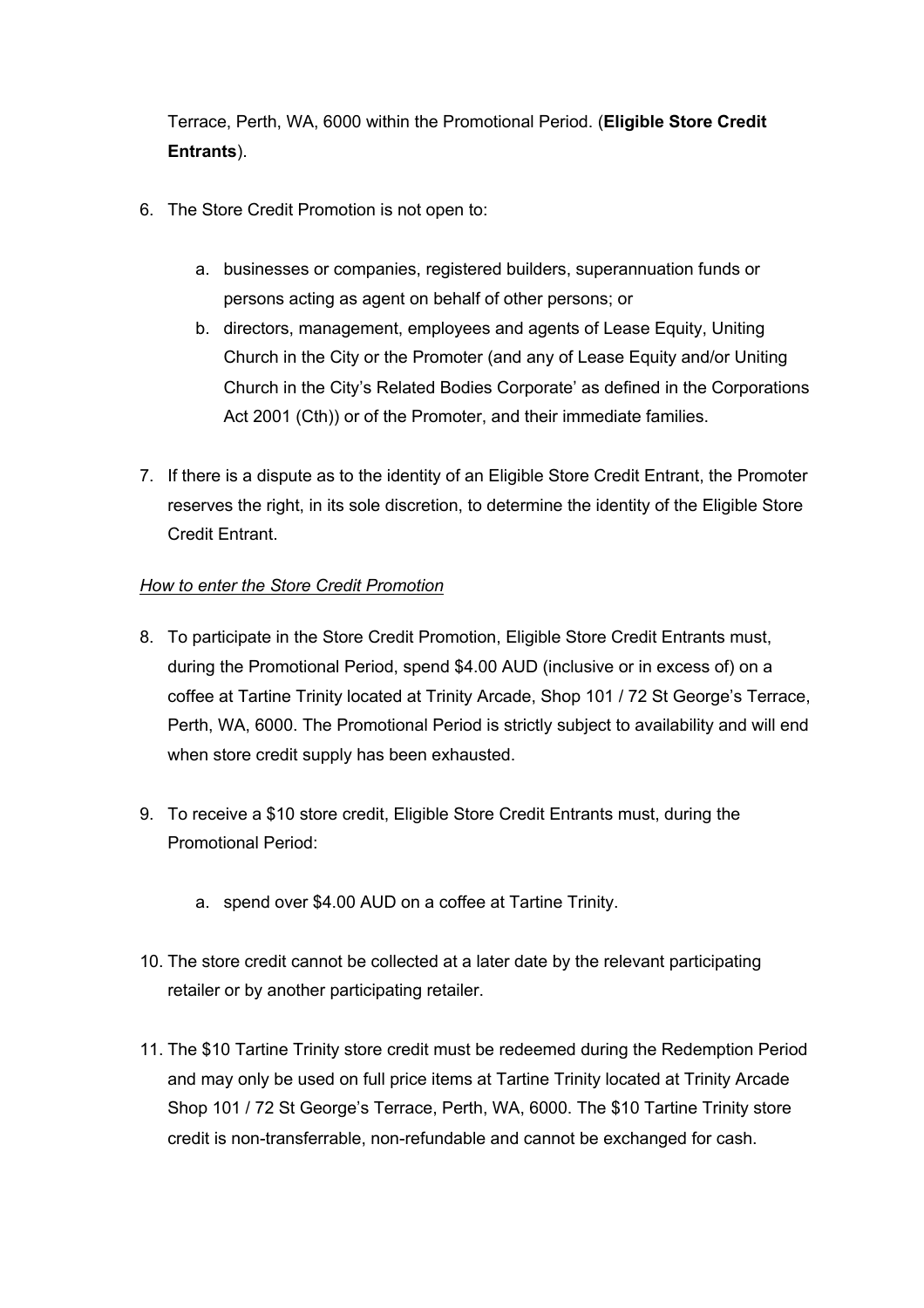Terrace, Perth, WA, 6000 within the Promotional Period. (**Eligible Store Credit Entrants**).

- 6. The Store Credit Promotion is not open to:
	- a. businesses or companies, registered builders, superannuation funds or persons acting as agent on behalf of other persons; or
	- b. directors, management, employees and agents of Lease Equity, Uniting Church in the City or the Promoter (and any of Lease Equity and/or Uniting Church in the City's Related Bodies Corporate' as defined in the Corporations Act 2001 (Cth)) or of the Promoter, and their immediate families.
- 7. If there is a dispute as to the identity of an Eligible Store Credit Entrant, the Promoter reserves the right, in its sole discretion, to determine the identity of the Eligible Store Credit Entrant.

## *How to enter the Store Credit Promotion*

- 8. To participate in the Store Credit Promotion, Eligible Store Credit Entrants must, during the Promotional Period, spend \$4.00 AUD (inclusive or in excess of) on a coffee at Tartine Trinity located at Trinity Arcade, Shop 101 / 72 St George's Terrace, Perth, WA, 6000. The Promotional Period is strictly subject to availability and will end when store credit supply has been exhausted.
- 9. To receive a \$10 store credit, Eligible Store Credit Entrants must, during the Promotional Period:
	- a. spend over \$4.00 AUD on a coffee at Tartine Trinity.
- 10. The store credit cannot be collected at a later date by the relevant participating retailer or by another participating retailer.
- 11. The \$10 Tartine Trinity store credit must be redeemed during the Redemption Period and may only be used on full price items at Tartine Trinity located at Trinity Arcade Shop 101 / 72 St George's Terrace, Perth, WA, 6000. The \$10 Tartine Trinity store credit is non-transferrable, non-refundable and cannot be exchanged for cash.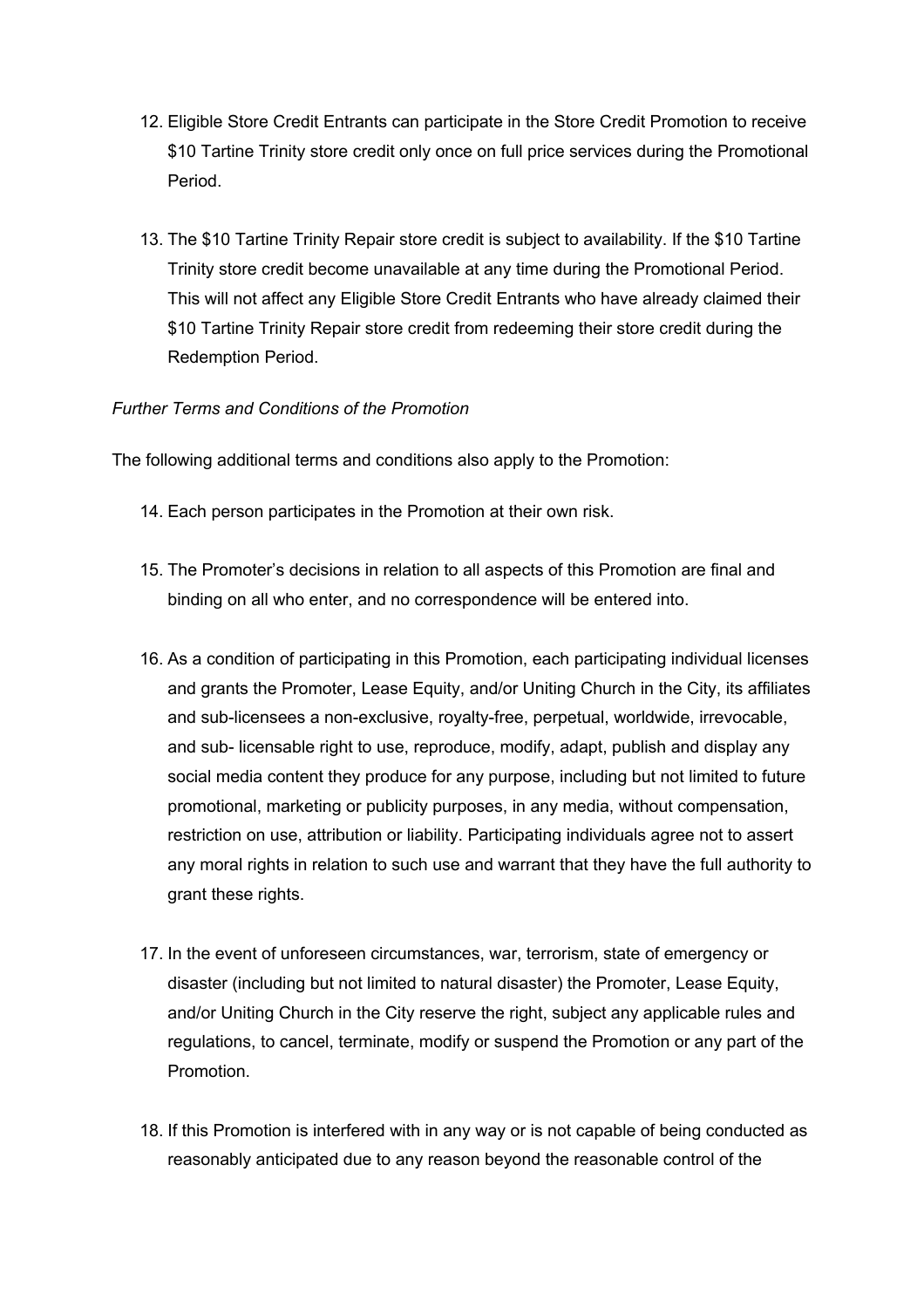- 12. Eligible Store Credit Entrants can participate in the Store Credit Promotion to receive \$10 Tartine Trinity store credit only once on full price services during the Promotional Period.
- 13. The \$10 Tartine Trinity Repair store credit is subject to availability. If the \$10 Tartine Trinity store credit become unavailable at any time during the Promotional Period. This will not affect any Eligible Store Credit Entrants who have already claimed their \$10 Tartine Trinity Repair store credit from redeeming their store credit during the Redemption Period.

#### *Further Terms and Conditions of the Promotion*

The following additional terms and conditions also apply to the Promotion:

- 14. Each person participates in the Promotion at their own risk.
- 15. The Promoter's decisions in relation to all aspects of this Promotion are final and binding on all who enter, and no correspondence will be entered into.
- 16. As a condition of participating in this Promotion, each participating individual licenses and grants the Promoter, Lease Equity, and/or Uniting Church in the City, its affiliates and sub-licensees a non-exclusive, royalty-free, perpetual, worldwide, irrevocable, and sub- licensable right to use, reproduce, modify, adapt, publish and display any social media content they produce for any purpose, including but not limited to future promotional, marketing or publicity purposes, in any media, without compensation, restriction on use, attribution or liability. Participating individuals agree not to assert any moral rights in relation to such use and warrant that they have the full authority to grant these rights.
- 17. In the event of unforeseen circumstances, war, terrorism, state of emergency or disaster (including but not limited to natural disaster) the Promoter, Lease Equity, and/or Uniting Church in the City reserve the right, subject any applicable rules and regulations, to cancel, terminate, modify or suspend the Promotion or any part of the Promotion.
- 18. If this Promotion is interfered with in any way or is not capable of being conducted as reasonably anticipated due to any reason beyond the reasonable control of the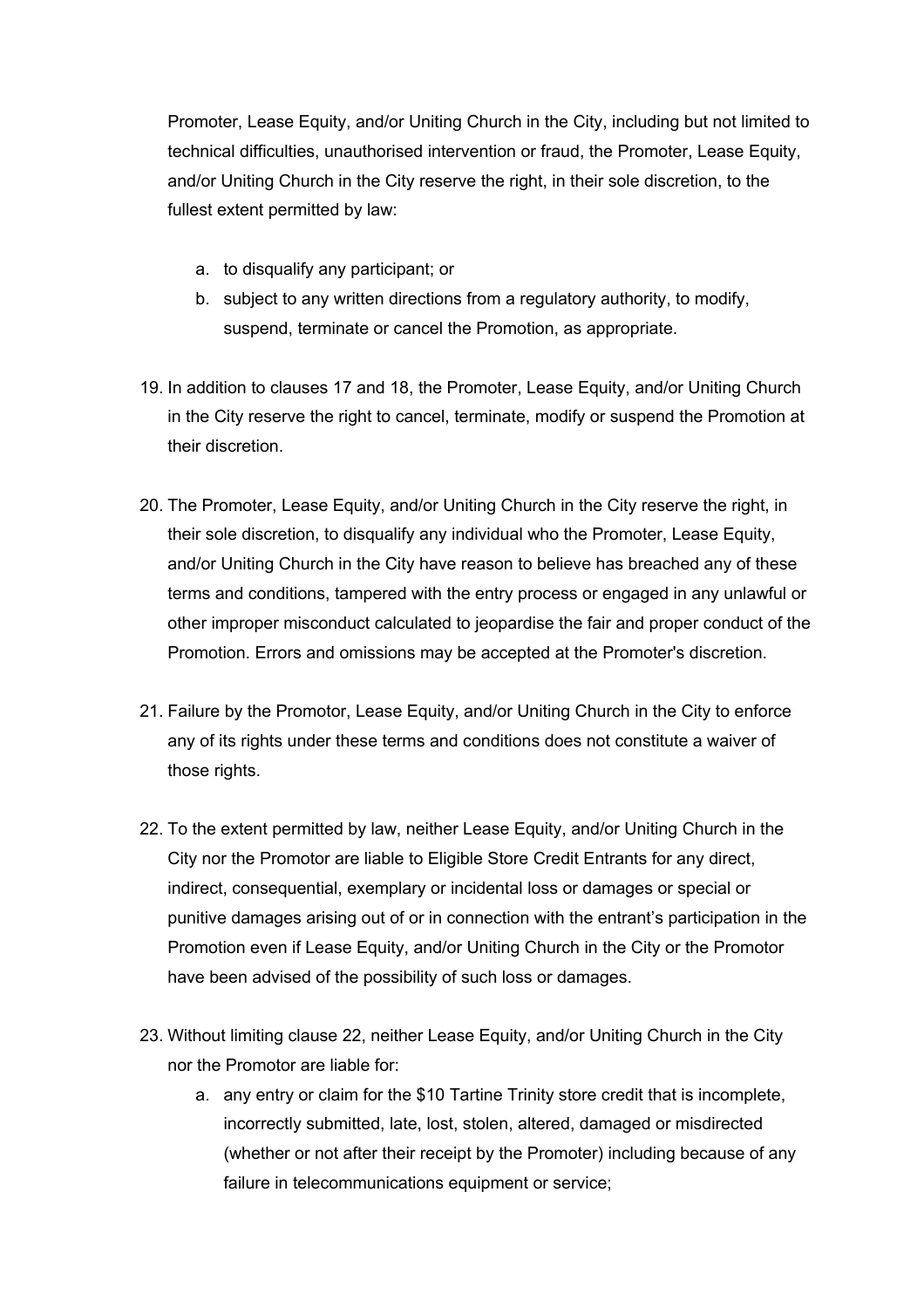Promoter, Lease Equity, and/or Uniting Church in the City, including but not limited to technical difficulties, unauthorised intervention or fraud, the Promoter, Lease Equity, and/or Uniting Church in the City reserve the right, in their sole discretion, to the fullest extent permitted by law:

- a. to disqualify any participant; or
- b. subject to any written directions from a regulatory authority, to modify, suspend, terminate or cancel the Promotion, as appropriate.
- 19. In addition to clauses 17 and 18, the Promoter, Lease Equity, and/or Uniting Church in the City reserve the right to cancel, terminate, modify or suspend the Promotion at their discretion.
- 20. The Promoter, Lease Equity, and/or Uniting Church in the City reserve the right, in their sole discretion, to disqualify any individual who the Promoter, Lease Equity, and/or Uniting Church in the City have reason to believe has breached any of these terms and conditions, tampered with the entry process or engaged in any unlawful or other improper misconduct calculated to jeopardise the fair and proper conduct of the Promotion. Errors and omissions may be accepted at the Promoter's discretion.
- 21. Failure by the Promotor, Lease Equity, and/or Uniting Church in the City to enforce any of its rights under these terms and conditions does not constitute a waiver of those rights.
- 22. To the extent permitted by law, neither Lease Equity, and/or Uniting Church in the City nor the Promotor are liable to Eligible Store Credit Entrants for any direct, indirect, consequential, exemplary or incidental loss or damages or special or punitive damages arising out of or in connection with the entrant's participation in the Promotion even if Lease Equity, and/or Uniting Church in the City or the Promotor have been advised of the possibility of such loss or damages.
- 23. Without limiting clause 22, neither Lease Equity, and/or Uniting Church in the City nor the Promotor are liable for:
	- a. any entry or claim for the \$10 Tartine Trinity store credit that is incomplete, incorrectly submitted, late, lost, stolen, altered, damaged or misdirected (whether or not after their receipt by the Promoter) including because of any failure in telecommunications equipment or service;